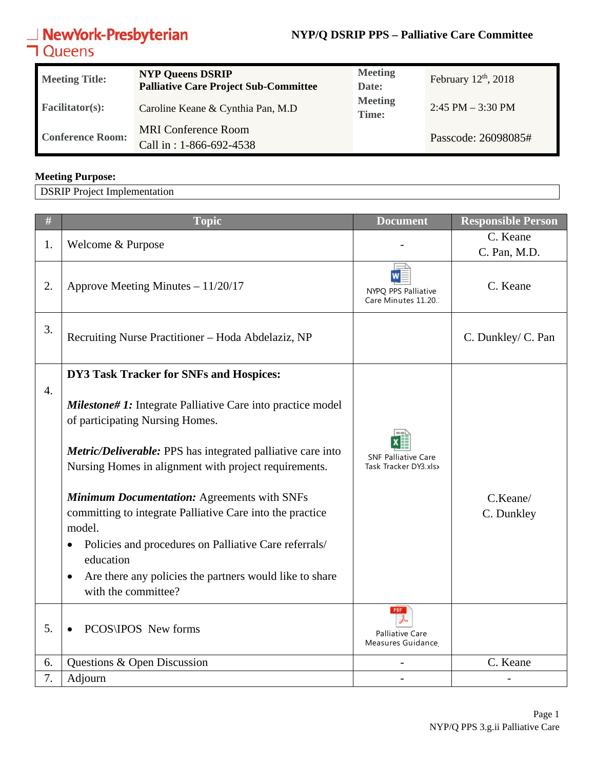## **NewYork-Presbyterian**<br>**コ**Queens

## **NYP/Q DSRIP PPS – Palliative Care Committee**

| <b>Meeting Title:</b>   | <b>NYP Queens DSRIP</b><br><b>Palliative Care Project Sub-Committee</b> | <b>Meeting</b><br>Date:        | February $12th$ , 2018 |
|-------------------------|-------------------------------------------------------------------------|--------------------------------|------------------------|
| <b>Facilitator(s):</b>  | Caroline Keane & Cynthia Pan, M.D                                       | <b>Meeting</b><br><b>Time:</b> | $2:45$ PM $-3:30$ PM   |
| <b>Conference Room:</b> | <b>MRI</b> Conference Room<br>Call in: 1-866-692-4538                   |                                | Passcode: 26098085#    |

## **Meeting Purpose:**

DSRIP Project Implementation

| $\#$             | <b>Topic</b>                                                                                                                                                                                                                                                                                                                                                                                                                                                                                                                                | <b>Document</b>                                     | <b>Responsible Person</b> |
|------------------|---------------------------------------------------------------------------------------------------------------------------------------------------------------------------------------------------------------------------------------------------------------------------------------------------------------------------------------------------------------------------------------------------------------------------------------------------------------------------------------------------------------------------------------------|-----------------------------------------------------|---------------------------|
| 1.               | Welcome & Purpose                                                                                                                                                                                                                                                                                                                                                                                                                                                                                                                           |                                                     | C. Keane                  |
|                  |                                                                                                                                                                                                                                                                                                                                                                                                                                                                                                                                             |                                                     | C. Pan, M.D.              |
| 2.               | Approve Meeting Minutes - 11/20/17                                                                                                                                                                                                                                                                                                                                                                                                                                                                                                          | NYPQ PPS Palliative<br>Care Minutes 11.20.          | C. Keane                  |
| 3.               | Recruiting Nurse Practitioner - Hoda Abdelaziz, NP                                                                                                                                                                                                                                                                                                                                                                                                                                                                                          |                                                     | C. Dunkley/ C. Pan        |
|                  | DY3 Task Tracker for SNFs and Hospices:                                                                                                                                                                                                                                                                                                                                                                                                                                                                                                     |                                                     |                           |
| $\overline{4}$ . | <b>Milestone#1:</b> Integrate Palliative Care into practice model<br>of participating Nursing Homes.<br>Metric/Deliverable: PPS has integrated palliative care into<br>Nursing Homes in alignment with project requirements.<br><b>Minimum Documentation: Agreements with SNFs</b><br>committing to integrate Palliative Care into the practice<br>model.<br>Policies and procedures on Palliative Care referrals/<br>$\bullet$<br>education<br>Are there any policies the partners would like to share<br>$\bullet$<br>with the committee? | <b>SNF Palliative Care</b><br>Task Tracker DY3.xlsx | C.Keane/<br>C. Dunkley    |
| 5.               | PCOS\IPOS New forms                                                                                                                                                                                                                                                                                                                                                                                                                                                                                                                         | PDF<br>Palliative Care<br>Measures Guidance         |                           |
| 6.               | Questions & Open Discussion                                                                                                                                                                                                                                                                                                                                                                                                                                                                                                                 |                                                     | C. Keane                  |
| 7.               | Adjourn                                                                                                                                                                                                                                                                                                                                                                                                                                                                                                                                     |                                                     |                           |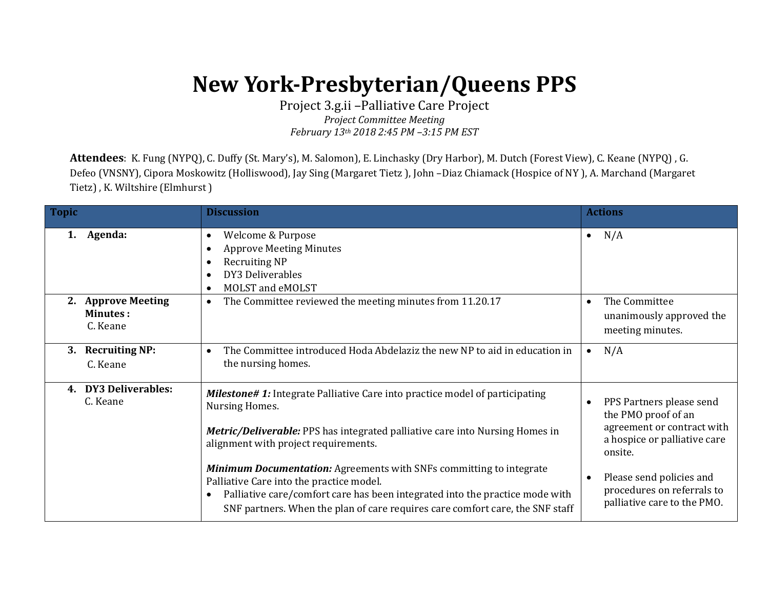## **New York-Presbyterian/Queens PPS**

Project 3.g.ii –Palliative Care Project *Project Committee Meeting February 13th 2018 2:45 PM –3:15 PM EST*

**Attendees**: K. Fung (NYPQ), C. Duffy (St. Mary's), M. Salomon), E. Linchasky (Dry Harbor), M. Dutch (Forest View), C. Keane (NYPQ) , G. Defeo (VNSNY), Cipora Moskowitz (Holliswood), Jay Sing (Margaret Tietz ), John –Diaz Chiamack (Hospice of NY ), A. Marchand (Margaret Tietz) , K. Wiltshire (Elmhurst )

| <b>Topic</b>                                      | <b>Discussion</b>                                                                                                                                                                                                                                                                                    | <b>Actions</b>                                                                                                           |
|---------------------------------------------------|------------------------------------------------------------------------------------------------------------------------------------------------------------------------------------------------------------------------------------------------------------------------------------------------------|--------------------------------------------------------------------------------------------------------------------------|
| Agenda:<br>1.                                     | Welcome & Purpose<br>$\bullet$<br><b>Approve Meeting Minutes</b><br><b>Recruiting NP</b><br>DY3 Deliverables<br>MOLST and eMOLST                                                                                                                                                                     | N/A<br>$\bullet$                                                                                                         |
| 2. Approve Meeting<br><b>Minutes:</b><br>C. Keane | The Committee reviewed the meeting minutes from 11.20.17<br>$\bullet$                                                                                                                                                                                                                                | The Committee<br>unanimously approved the<br>meeting minutes.                                                            |
| <b>Recruiting NP:</b><br>3.<br>C. Keane           | The Committee introduced Hoda Abdelaziz the new NP to aid in education in<br>the nursing homes.                                                                                                                                                                                                      | N/A                                                                                                                      |
| <b>DY3 Deliverables:</b><br>4.<br>C. Keane        | <b>Milestone#1:</b> Integrate Palliative Care into practice model of participating<br>Nursing Homes.<br><b>Metric/Deliverable:</b> PPS has integrated palliative care into Nursing Homes in<br>alignment with project requirements.                                                                  | PPS Partners please send<br>the PMO proof of an<br>agreement or contract with<br>a hospice or palliative care<br>onsite. |
|                                                   | <b>Minimum Documentation:</b> Agreements with SNFs committing to integrate<br>Palliative Care into the practice model.<br>Palliative care/comfort care has been integrated into the practice mode with<br>$\bullet$<br>SNF partners. When the plan of care requires care comfort care, the SNF staff | Please send policies and<br>procedures on referrals to<br>palliative care to the PMO.                                    |